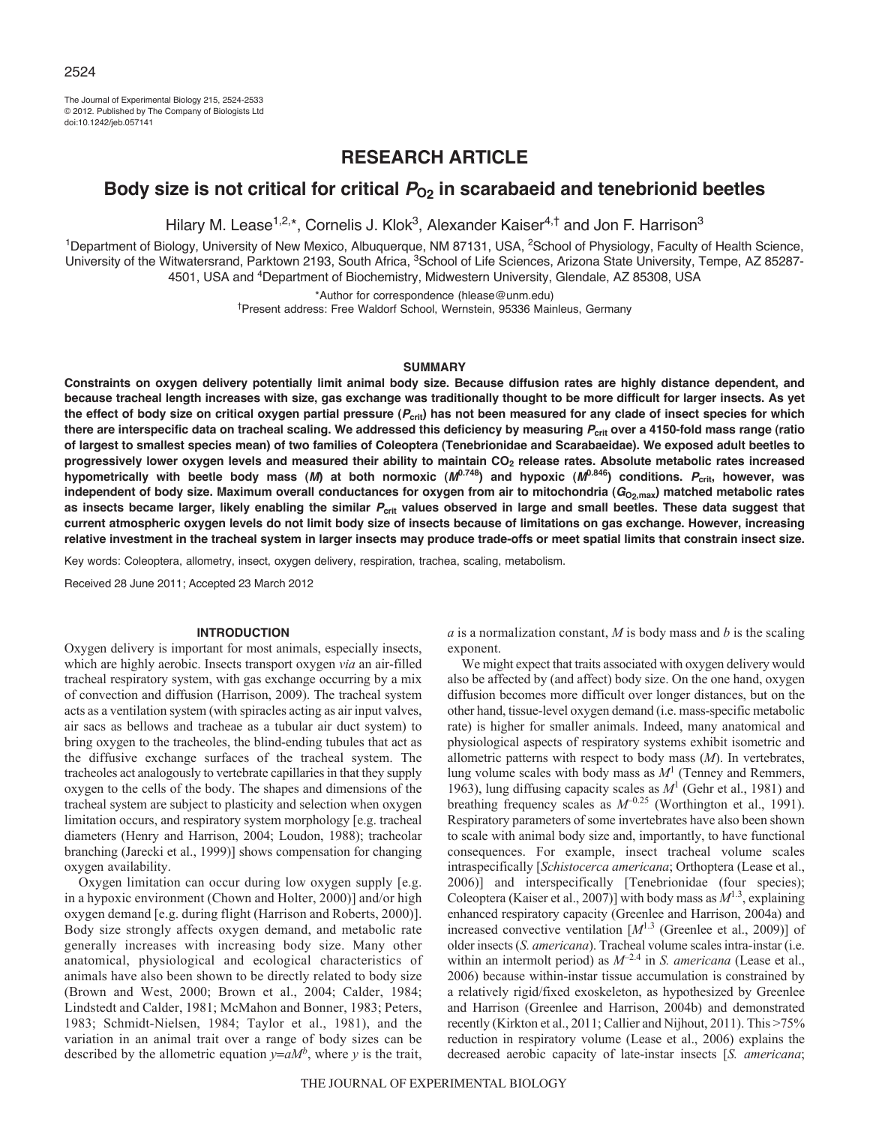The Journal of Experimental Biology 215, 2524-2533 © 2012. Published by The Company of Biologists Ltd doi:10.1242/jeb.057141

## **RESEARCH ARTICLE**

# Body size is not critical for critical  $P_{O2}$  in scarabaeid and tenebrionid beetles

Hilary M. Lease<sup>1,2,\*</sup>, Cornelis J. Klok<sup>3</sup>, Alexander Kaiser<sup>4,†</sup> and Jon F. Harrison<sup>3</sup>

<sup>1</sup>Department of Biology, University of New Mexico, Albuquerque, NM 87131, USA, <sup>2</sup>School of Physiology, Faculty of Health Science, University of the Witwatersrand, Parktown 2193, South Africa, <sup>3</sup>School of Life Sciences, Arizona State University, Tempe, AZ 85287-4501, USA and 4Department of Biochemistry, Midwestern University, Glendale, AZ 85308, USA

\*Author for correspondence (hlease@unm.edu)

†Present address: Free Waldorf School, Wernstein, 95336 Mainleus, Germany

## **SUMMARY**

**Constraints on oxygen delivery potentially limit animal body size. Because diffusion rates are highly distance dependent, and because tracheal length increases with size, gas exchange was traditionally thought to be more difficult for larger insects. As yet the effect of body size on critical oxygen partial pressure (***P***crit) has not been measured for any clade of insect species for which there are interspecific data on tracheal scaling. We addressed this deficiency by measuring** *P***crit over a 4150-fold mass range (ratio of largest to smallest species mean) of two families of Coleoptera (Tenebrionidae and Scarabaeidae). We exposed adult beetles to progressively lower oxygen levels and measured their ability to maintain CO2 release rates. Absolute metabolic rates increased hypometrically with beetle body mass (***M***) at both normoxic (***M***0.748) and hypoxic (***M***0.846) conditions.** *P***crit, however, was** independent of body size. Maximum overall conductances for oxygen from air to mitochondria ( $G_{O_2, max}$ ) matched metabolic rates **as insects became larger, likely enabling the similar** *P***crit values observed in large and small beetles. These data suggest that current atmospheric oxygen levels do not limit body size of insects because of limitations on gas exchange. However, increasing relative investment in the tracheal system in larger insects may produce trade-offs or meet spatial limits that constrain insect size.**

Key words: Coleoptera, allometry, insect, oxygen delivery, respiration, trachea, scaling, metabolism.

Received 28 June 2011; Accepted 23 March 2012

#### **INTRODUCTION**

Oxygen delivery is important for most animals, especially insects, which are highly aerobic. Insects transport oxygen *via* an air-filled tracheal respiratory system, with gas exchange occurring by a mix of convection and diffusion (Harrison, 2009). The tracheal system acts as a ventilation system (with spiracles acting as air input valves, air sacs as bellows and tracheae as a tubular air duct system) to bring oxygen to the tracheoles, the blind-ending tubules that act as the diffusive exchange surfaces of the tracheal system. The tracheoles act analogously to vertebrate capillaries in that they supply oxygen to the cells of the body. The shapes and dimensions of the tracheal system are subject to plasticity and selection when oxygen limitation occurs, and respiratory system morphology [e.g. tracheal diameters (Henry and Harrison, 2004; Loudon, 1988); tracheolar branching (Jarecki et al., 1999)] shows compensation for changing oxygen availability.

Oxygen limitation can occur during low oxygen supply [e.g. in a hypoxic environment (Chown and Holter, 2000)] and/or high oxygen demand [e.g. during flight (Harrison and Roberts, 2000)]. Body size strongly affects oxygen demand, and metabolic rate generally increases with increasing body size. Many other anatomical, physiological and ecological characteristics of animals have also been shown to be directly related to body size (Brown and West, 2000; Brown et al., 2004; Calder, 1984; Lindstedt and Calder, 1981; McMahon and Bonner, 1983; Peters, 1983; Schmidt-Nielsen, 1984; Taylor et al., 1981), and the variation in an animal trait over a range of body sizes can be described by the allometric equation  $y=aM^b$ , where *y* is the trait,

*a* is a normalization constant, *M* is body mass and *b* is the scaling exponent.

We might expect that traits associated with oxygen delivery would also be affected by (and affect) body size. On the one hand, oxygen diffusion becomes more difficult over longer distances, but on the other hand, tissue-level oxygen demand (i.e. mass-specific metabolic rate) is higher for smaller animals. Indeed, many anatomical and physiological aspects of respiratory systems exhibit isometric and allometric patterns with respect to body mass (*M*). In vertebrates, lung volume scales with body mass as  $M<sup>1</sup>$  (Tenney and Remmers, 1963), lung diffusing capacity scales as *M*<sup>1</sup> (Gehr et al., 1981) and breathing frequency scales as  $M^{-0.25}$  (Worthington et al., 1991). Respiratory parameters of some invertebrates have also been shown to scale with animal body size and, importantly, to have functional consequences. For example, insect tracheal volume scales intraspecifically [*Schistocerca americana*; Orthoptera (Lease et al., 2006)] and interspecifically [Tenebrionidae (four species); Coleoptera (Kaiser et al., 2007)] with body mass as  $M^{1.3}$ , explaining enhanced respiratory capacity (Greenlee and Harrison, 2004a) and increased convective ventilation [*M*1.3 (Greenlee et al., 2009)] of older insects (*S. americana*). Tracheal volume scales intra-instar (i.e. within an intermolt period) as  $M^{-2.4}$  in *S. americana* (Lease et al., 2006) because within-instar tissue accumulation is constrained by a relatively rigid/fixed exoskeleton, as hypothesized by Greenlee and Harrison (Greenlee and Harrison, 2004b) and demonstrated recently (Kirkton et al., 2011; Callier and Nijhout, 2011). This >75% reduction in respiratory volume (Lease et al., 2006) explains the decreased aerobic capacity of late-instar insects [*S. americana*;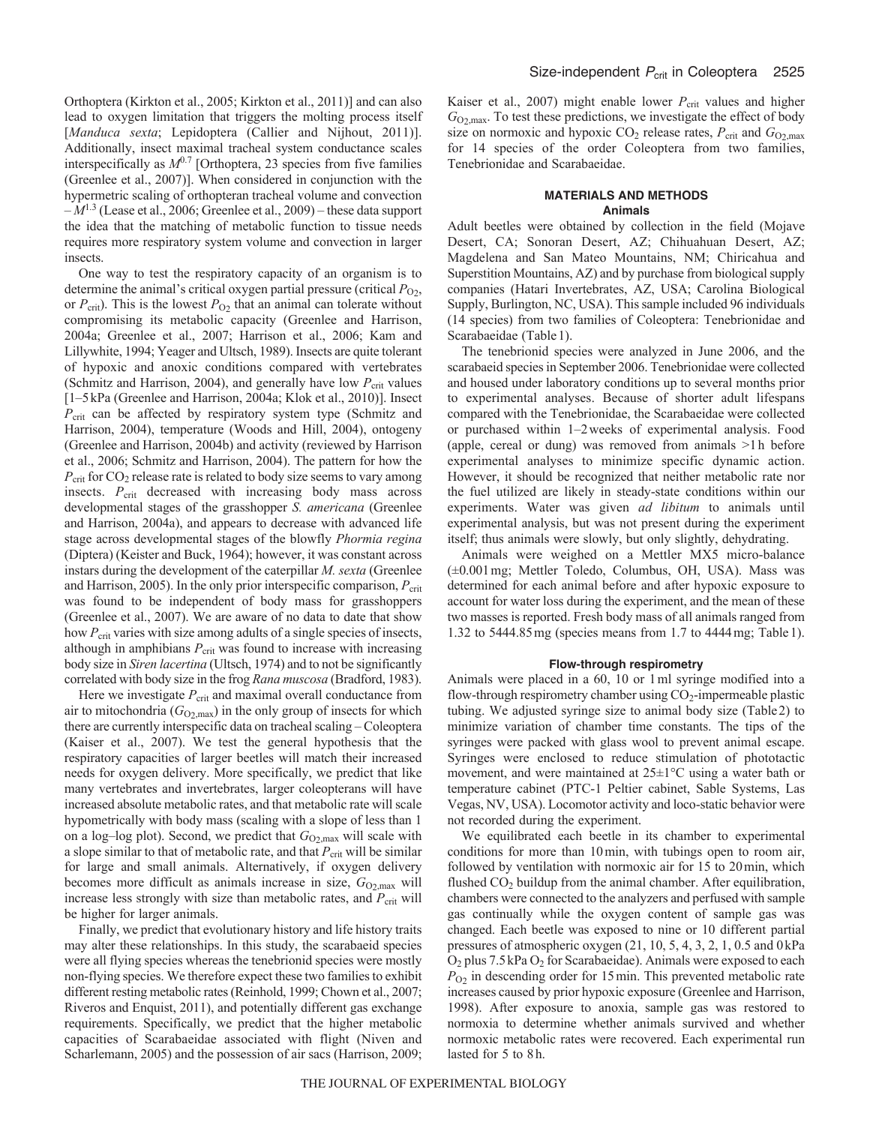Orthoptera (Kirkton et al., 2005; Kirkton et al., 2011)] and can also lead to oxygen limitation that triggers the molting process itself [Manduca sexta; Lepidoptera (Callier and Nijhout, 2011)]. Additionally, insect maximal tracheal system conductance scales interspecifically as  $M^{0.7}$  [Orthoptera, 23 species from five families (Greenlee et al., 2007)]. When considered in conjunction with the hypermetric scaling of orthopteran tracheal volume and convection  $-M^{1.3}$  (Lease et al., 2006; Greenlee et al., 2009) – these data support the idea that the matching of metabolic function to tissue needs requires more respiratory system volume and convection in larger insects.

One way to test the respiratory capacity of an organism is to determine the animal's critical oxygen partial pressure (critical  $P_{O_2}$ , or  $P_{\text{crit}}$ ). This is the lowest  $P_{\text{O2}}$  that an animal can tolerate without compromising its metabolic capacity (Greenlee and Harrison, 2004a; Greenlee et al., 2007; Harrison et al., 2006; Kam and Lillywhite, 1994; Yeager and Ultsch, 1989). Insects are quite tolerant of hypoxic and anoxic conditions compared with vertebrates (Schmitz and Harrison, 2004), and generally have low  $P_{\text{crit}}$  values [1–5kPa (Greenlee and Harrison, 2004a; Klok et al., 2010)]. Insect *P*crit can be affected by respiratory system type (Schmitz and Harrison, 2004), temperature (Woods and Hill, 2004), ontogeny (Greenlee and Harrison, 2004b) and activity (reviewed by Harrison et al., 2006; Schmitz and Harrison, 2004). The pattern for how the *P*crit for CO2 release rate is related to body size seems to vary among insects. P<sub>crit</sub> decreased with increasing body mass across developmental stages of the grasshopper *S. americana* (Greenlee and Harrison, 2004a), and appears to decrease with advanced life stage across developmental stages of the blowfly *Phormia regina* (Diptera) (Keister and Buck, 1964); however, it was constant across instars during the development of the caterpillar *M. sexta* (Greenlee and Harrison, 2005). In the only prior interspecific comparison,  $P_{\text{crit}}$ was found to be independent of body mass for grasshoppers (Greenlee et al., 2007). We are aware of no data to date that show how  $P_{\text{crit}}$  varies with size among adults of a single species of insects, although in amphibians  $P_{\text{crit}}$  was found to increase with increasing body size in *Siren lacertina* (Ultsch, 1974) and to not be significantly correlated with body size in the frog *Rana muscosa* (Bradford, 1983).

Here we investigate  $P_{\text{crit}}$  and maximal overall conductance from air to mitochondria  $(G_{O_2, max})$  in the only group of insects for which there are currently interspecific data on tracheal scaling – Coleoptera (Kaiser et al., 2007). We test the general hypothesis that the respiratory capacities of larger beetles will match their increased needs for oxygen delivery. More specifically, we predict that like many vertebrates and invertebrates, larger coleopterans will have increased absolute metabolic rates, and that metabolic rate will scale hypometrically with body mass (scaling with a slope of less than 1 on a log-log plot). Second, we predict that  $G_{O_2, max}$  will scale with a slope similar to that of metabolic rate, and that  $P_{\text{crit}}$  will be similar for large and small animals. Alternatively, if oxygen delivery becomes more difficult as animals increase in size,  $G_{O2, \text{max}}$  will increase less strongly with size than metabolic rates, and *P*<sub>crit</sub> will be higher for larger animals.

Finally, we predict that evolutionary history and life history traits may alter these relationships. In this study, the scarabaeid species were all flying species whereas the tenebrionid species were mostly non-flying species. We therefore expect these two families to exhibit different resting metabolic rates (Reinhold, 1999; Chown et al., 2007; Riveros and Enquist, 2011), and potentially different gas exchange requirements. Specifically, we predict that the higher metabolic capacities of Scarabaeidae associated with flight (Niven and Scharlemann, 2005) and the possession of air sacs (Harrison, 2009; Kaiser et al., 2007) might enable lower  $P_{\text{crit}}$  values and higher *G*O2,max. To test these predictions, we investigate the effect of body size on normoxic and hypoxic  $CO_2$  release rates,  $P_{\text{crit}}$  and  $G_{O_2,\text{max}}$ for 14 species of the order Coleoptera from two families, Tenebrionidae and Scarabaeidae.

## **MATERIALS AND METHODS Animals**

Adult beetles were obtained by collection in the field (Mojave Desert, CA; Sonoran Desert, AZ; Chihuahuan Desert, AZ; Magdelena and San Mateo Mountains, NM; Chiricahua and Superstition Mountains, AZ) and by purchase from biological supply companies (Hatari Invertebrates, AZ, USA; Carolina Biological Supply, Burlington, NC, USA). This sample included 96 individuals (14 species) from two families of Coleoptera: Tenebrionidae and Scarabaeidae (Table 1).

The tenebrionid species were analyzed in June 2006, and the scarabaeid species in September 2006. Tenebrionidae were collected and housed under laboratory conditions up to several months prior to experimental analyses. Because of shorter adult lifespans compared with the Tenebrionidae, the Scarabaeidae were collected or purchased within 1–2weeks of experimental analysis. Food (apple, cereal or dung) was removed from animals >1h before experimental analyses to minimize specific dynamic action. However, it should be recognized that neither metabolic rate nor the fuel utilized are likely in steady-state conditions within our experiments. Water was given *ad libitum* to animals until experimental analysis, but was not present during the experiment itself; thus animals were slowly, but only slightly, dehydrating.

Animals were weighed on a Mettler MX5 micro-balance (±0.001mg; Mettler Toledo, Columbus, OH, USA). Mass was determined for each animal before and after hypoxic exposure to account for water loss during the experiment, and the mean of these two masses is reported. Fresh body mass of all animals ranged from 1.32 to 5444.85mg (species means from 1.7 to 4444mg; Table1).

## **Flow-through respirometry**

Animals were placed in a 60, 10 or 1ml syringe modified into a flow-through respirometry chamber using  $CO<sub>2</sub>$ -impermeable plastic tubing. We adjusted syringe size to animal body size (Table2) to minimize variation of chamber time constants. The tips of the syringes were packed with glass wool to prevent animal escape. Syringes were enclosed to reduce stimulation of phototactic movement, and were maintained at 25±1°C using a water bath or temperature cabinet (PTC-1 Peltier cabinet, Sable Systems, Las Vegas, NV, USA). Locomotor activity and loco-static behavior were not recorded during the experiment.

We equilibrated each beetle in its chamber to experimental conditions for more than 10min, with tubings open to room air, followed by ventilation with normoxic air for 15 to 20min, which flushed CO<sub>2</sub> buildup from the animal chamber. After equilibration, chambers were connected to the analyzers and perfused with sample gas continually while the oxygen content of sample gas was changed. Each beetle was exposed to nine or 10 different partial pressures of atmospheric oxygen (21, 10, 5, 4, 3, 2, 1, 0.5 and 0kPa  $O_2$  plus 7.5 kPa  $O_2$  for Scarabaeidae). Animals were exposed to each  $P_{O2}$  in descending order for 15 min. This prevented metabolic rate increases caused by prior hypoxic exposure (Greenlee and Harrison, 1998). After exposure to anoxia, sample gas was restored to normoxia to determine whether animals survived and whether normoxic metabolic rates were recovered. Each experimental run lasted for 5 to 8h.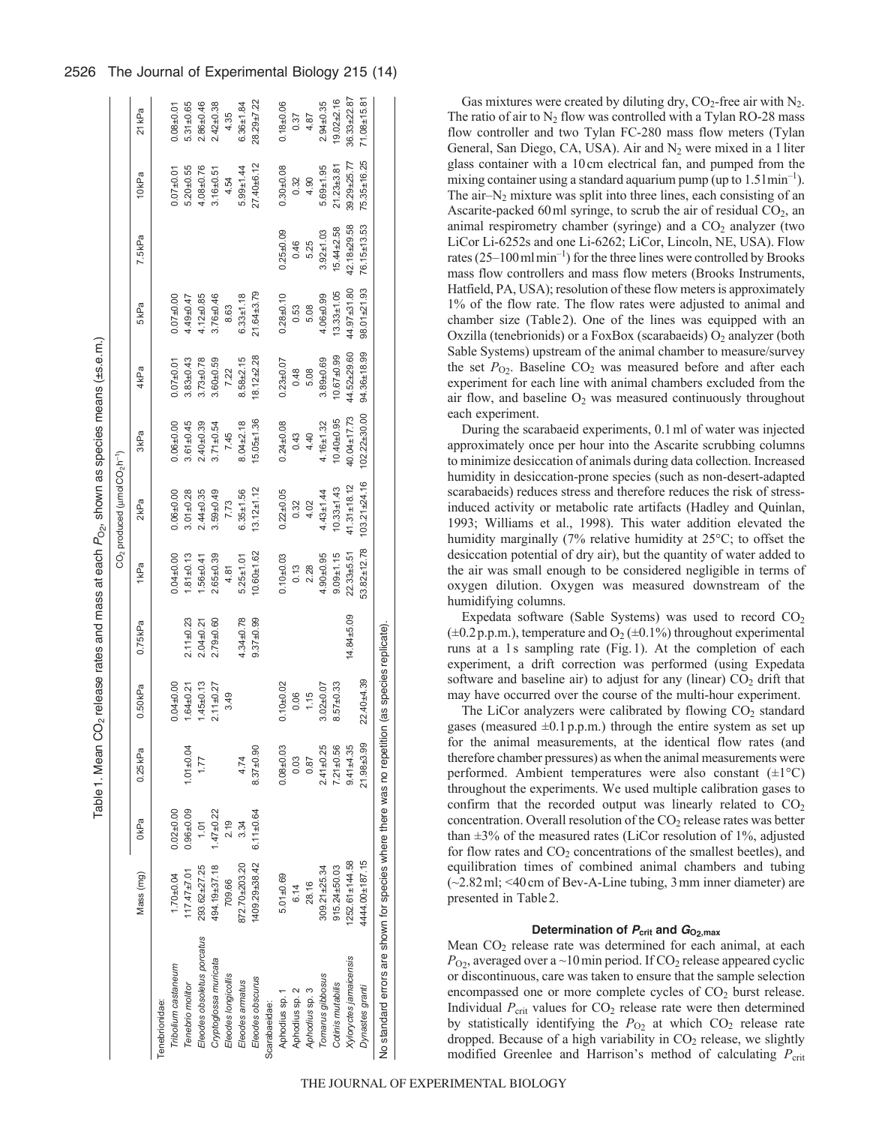| Į                                               |  |
|-------------------------------------------------|--|
|                                                 |  |
|                                                 |  |
| ייי בין בישר בין בין בין בין בין בין בין ב<br>i |  |
|                                                 |  |
|                                                 |  |
| ׇ֚֓֡<br>ı                                       |  |
|                                                 |  |
|                                                 |  |
| 55                                              |  |
|                                                 |  |
| watan ama                                       |  |
|                                                 |  |
| J<br>)<br>ا                                     |  |
|                                                 |  |
|                                                 |  |
|                                                 |  |
| I                                               |  |

abl<sub>.</sub>

|                                                                        |                   |               |               |                        |               |                  | CO <sub>2</sub> produced (umolCO <sub>2</sub> h <sup>-1</sup> ) |                  |                   |                  |                      |                |                   |
|------------------------------------------------------------------------|-------------------|---------------|---------------|------------------------|---------------|------------------|-----------------------------------------------------------------|------------------|-------------------|------------------|----------------------|----------------|-------------------|
|                                                                        | Mass (mg)         | 0kPa          | $0.25$ kPa    | $0.50$ kPa             | 0.75kPa       | 1kPa             | 2 <sub>kPa</sub>                                                | 3 <sub>kPa</sub> | 4 <sub>kPa</sub>  | 5kPa             | $7.5$ <sub>kPa</sub> | 10kPa          | 21 <sub>kPa</sub> |
| enebrionidae:                                                          |                   |               |               |                        |               |                  |                                                                 |                  |                   |                  |                      |                |                   |
| Tribolium castaneum                                                    | $1.70 + 0.04$     | $0.02 + 0.00$ |               | $0.04 + 0.00$          |               | $0.04 + 0.00$    | $0.06 + 0.00$                                                   | $0.06 + 0.00$    | $0.07 + 0.01$     | $0.07 + 0.00$    |                      | $0.07 + 0.01$  | $0.08 + 0.01$     |
| Tenebrio molitor                                                       | $117.47 \pm 7.01$ | $0.96 + 0.09$ | $1.01 + 0.04$ | $1.64 + 0.21$          | $2.11 + 0.23$ | $1.81 + 0.13$    | $3.01 + 0.28$                                                   | $3.61 + 0.45$    | $3.83 + 0.43$     | $49 + 0.47$      |                      | $5.20 + 0.55$  | $5.31 + 0.65$     |
| Eleodes obsoletus porcatus                                             | 293.62±27.25      | 1.01          | 1.77          | $1.45 + 0.13$          | $2.04 + 0.21$ | $.56 + 0.41$     | $2.44 + 0.35$                                                   | $2.40 + 0.39$    | $3.73 + 0.78$     | $.12 + 0.85$     |                      | $4.08 + 0.76$  | $2.86 + 0.46$     |
| Cryptoglossa muricata                                                  | 494.19±37.18      | $1.47 + 0.22$ |               | $2.11 + 0.27$          | $2.79 + 0.60$ | $2.65 + 0.39$    | $3.59 + 0.49$                                                   | $3.71 + 0.54$    | $3.60 + 0.59$     | $3.76 + 0.46$    |                      | $3.16 + 0.51$  | $2.42 + 0.38$     |
| Eleodes longicollis                                                    | 709.66            | 2.19          |               | 3.49                   |               | 4.81             | 7.73                                                            | 7.45             | 7.22              | 8.63             |                      | 4.54           | 4.35              |
| Eleodes armatus                                                        | 872.70±203.20     | 3.34          | 4.74          |                        | 4.34±0.78     | $5.25 \pm 1.01$  | $6.35 + 1.56$                                                   | $8.04 + 2.18$    | $8.58 + 2.15$     | $6.33 \pm 1.18$  |                      | $5.99 + 1.44$  | $6.36 + 1.84$     |
| Eleodes obscurus                                                       | 409.29±38.42      | $6.11 + 0.64$ | $8.37 + 0.90$ |                        | $9.37 + 0.99$ | $10.60 \pm 1.62$ | $13.12 \pm 1.12$                                                | $15.05 \pm 1.36$ | $18.12 + 2.28$    | 21.64±3.79       |                      | 27.40±6.12     | $28.29 + 7.22$    |
| Scarabaeidae:                                                          |                   |               |               |                        |               |                  |                                                                 |                  |                   |                  |                      |                |                   |
| Aphodius sp. 1                                                         | $5.01 + 0.69$     |               | $0.08 + 0.03$ | $0.10 + 0.02$          |               | $0.10 + 0.03$    | $0.22 + 0.05$                                                   | $0.24 + 0.08$    | $0.23 + 0.07$     | $0.28 + 0.10$    | $0.25 + 0.09$        | $0.30 + 0.08$  | $0.18 + 0.06$     |
| Aphodius sp. 2                                                         | 6.14              |               | 0.03          | 0.06                   |               | 0.13             | 0.32                                                            | 0.43             | 0.48              | 0.53             | 0.46                 | 0.32           | 0.37              |
| Aphodius sp. 3                                                         | 28.16             |               | 0.87          | 1.15                   |               | 2.28             | 4.02                                                            | 4.40             | 5.08              | 5.08             | 5.25                 | 4.90           | 4.87              |
| Tomarus gibbosus                                                       | 309.21±25.34      |               | $2.41 + 0.25$ | $3.02 + 0.07$          |               | $4.90 + 0.95$    | $4.43 + 1.44$                                                   | $4.16 + 1.32$    | $3.89 + 0.69$     | $4.06 + 0.99$    | $3.92 + 1.03$        | $5.69 + 1.95$  | $2.94 + 0.35$     |
| Cotinis mutabilis                                                      | $915.24 + 50.03$  |               | $7.21 + 0.56$ | $8.57 + 0.33$          |               | $9.09 + 1.15$    | $10.33 \pm 1.43$                                                | $10.40 + 0.95$   | $10.67 + 0.99$    | $13.33 \pm 1.05$ | $15.44 \pm 2.58$     | $21.23 + 3.81$ | $19.02 + 2.16$    |
| Xyloryctes jamaicensis                                                 | 1252.61±144.58    |               | $9.41 + 35$   |                        | 14.84±5.09    | $22.33 + 5.51$   | 41.31±18.12                                                     | 40.04±17.73      | 44.52±29.60       | 44.97±31.80      | 42.18±29.58          | 39.29+25.77    | $36.33 + 22.87$   |
| Dynastes granti                                                        | 444.00±187.15     |               | 21.98±3.99    | $22.40 + 39$           |               | 53.82±12.78      | 103.21±24.16                                                    | $102.22 + 30.00$ | $94.36 \pm 18.99$ | 98.01±21.93      | 76.15±13.53          | 75.35±16.25    | $71.08 + 15.81$   |
| No standard errors are shown for species where there was no repetition |                   |               |               | (as species replicate) |               |                  |                                                                 |                  |                   |                  |                      |                |                   |

Gas mixtures were created by diluting dry,  $CO<sub>2</sub>$ -free air with  $N<sub>2</sub>$ . The ratio of air to  $N_2$  flow was controlled with a Tylan RO-28 mass flow controller and two Tylan FC-280 mass flow meters (Tylan General, San Diego, CA, USA). Air and  $N_2$  were mixed in a 1 liter glass container with a 10cm electrical fan, and pumped from the mixing container using a standard aquarium pump (up to  $1.51$  min<sup>-1</sup>). The air $-N_2$  mixture was split into three lines, each consisting of an Ascarite-packed 60 ml syringe, to scrub the air of residual  $CO<sub>2</sub>$ , an animal respirometry chamber (syringe) and a  $CO<sub>2</sub>$  analyzer (two LiCor Li-6252s and one Li-6262; LiCor, Lincoln, NE, USA). Flow rates  $(25-100 \text{ m} \cdot \text{min}^{-1})$  for the three lines were controlled by Brooks mass flow controllers and mass flow meters (Brooks Instruments, Hatfield, PA, USA); resolution of these flow meters is approximately 1% of the flow rate. The flow rates were adjusted to animal and chamber size (Table2). One of the lines was equipped with an Oxzilla (tenebrionids) or a FoxBox (scarabaeids)  $O_2$  analyzer (both Sable Systems) upstream of the animal chamber to measure/survey the set  $P_{O_2}$ . Baseline  $CO_2$  was measured before and after each experiment for each line with animal chambers excluded from the air flow, and baseline  $O_2$  was measured continuously throughout each experiment.

During the scarabaeid experiments, 0.1ml of water was injected approximately once per hour into the Ascarite scrubbing columns to minimize desiccation of animals during data collection. Increased humidity in desiccation-prone species (such as non-desert-adapted scarabaeids) reduces stress and therefore reduces the risk of stressinduced activity or metabolic rate artifacts (Hadley and Quinlan, 1993; Williams et al., 1998). This water addition elevated the humidity marginally (7% relative humidity at 25°C; to offset the desiccation potential of dry air), but the quantity of water added to the air was small enough to be considered negligible in terms of oxygen dilution. Oxygen was measured downstream of the humidifying columns.

Expedata software (Sable Systems) was used to record  $CO<sub>2</sub>$  $(\pm 0.2 \text{ p.p.m.})$ , temperature and  $\text{O}_2 (\pm 0.1\%)$  throughout experimental runs at a 1s sampling rate (Fig.1). At the completion of each experiment, a drift correction was performed (using Expedata software and baseline air) to adjust for any (linear)  $CO<sub>2</sub>$  drift that may have occurred over the course of the multi-hour experiment.

The LiCor analyzers were calibrated by flowing  $CO<sub>2</sub>$  standard gases (measured  $\pm 0.1$  p.p.m.) through the entire system as set up for the animal measurements, at the identical flow rates (and therefore chamber pressures) as when the animal measurements were performed. Ambient temperatures were also constant  $(\pm 1^{\circ}C)$ throughout the experiments. We used multiple calibration gases to confirm that the recorded output was linearly related to  $CO<sub>2</sub>$ concentration. Overall resolution of the  $CO<sub>2</sub>$  release rates was better than  $\pm 3\%$  of the measured rates (LiCor resolution of 1%, adjusted for flow rates and  $CO<sub>2</sub>$  concentrations of the smallest beetles), and equilibration times of combined animal chambers and tubing (~2.82ml; <40cm of Bev-A-Line tubing, 3mm inner diameter) are presented in Table2.

## **Determination of** *P***crit and** *G***O2,max**

Mean CO<sub>2</sub> release rate was determined for each animal, at each  $P_{O2}$ , averaged over a ~10 min period. If CO<sub>2</sub> release appeared cyclic or discontinuous, care was taken to ensure that the sample selection encompassed one or more complete cycles of CO<sub>2</sub> burst release. Individual  $P_{\text{crit}}$  values for  $CO_2$  release rate were then determined by statistically identifying the  $P_{O_2}$  at which  $CO_2$  release rate dropped. Because of a high variability in  $CO<sub>2</sub>$  release, we slightly modified Greenlee and Harrison's method of calculating  $P_{\text{crit}}$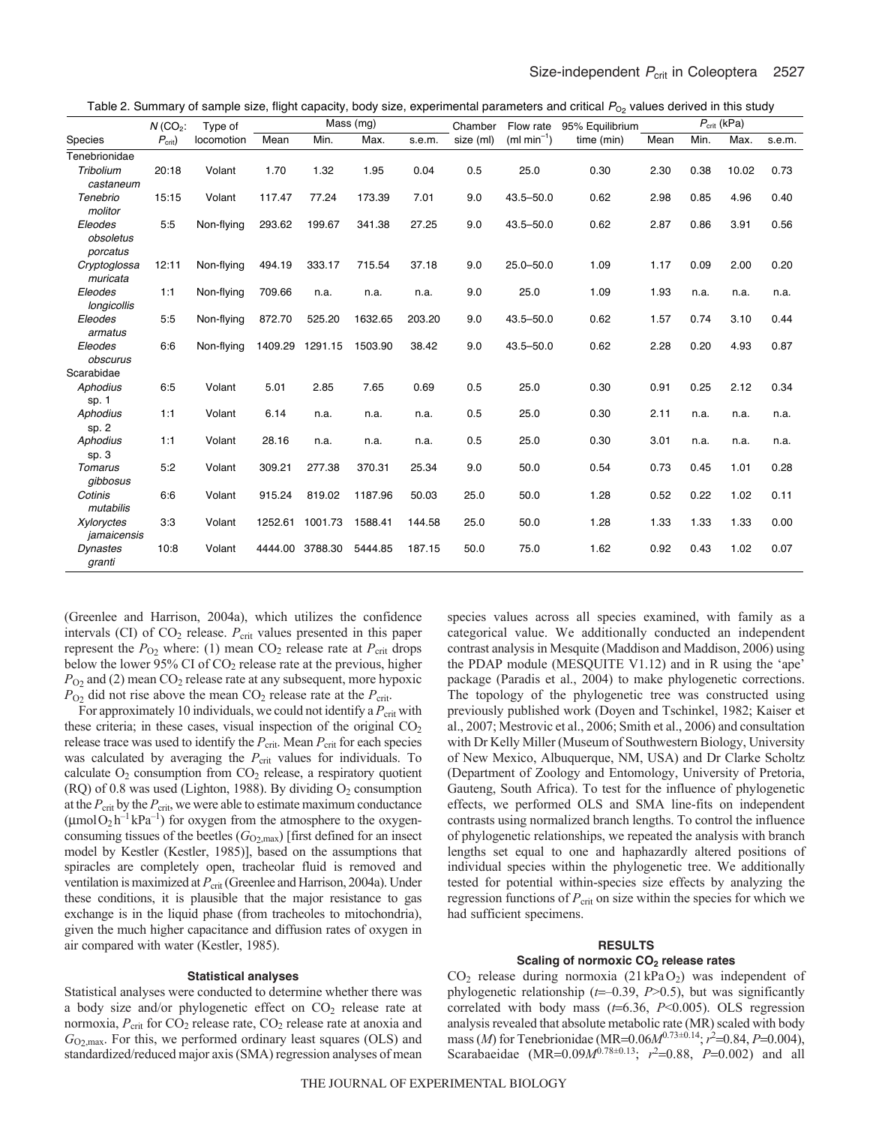| Table 2. Summary of sample size, flight capacity, body size, experimental parameters and critical $P_{O_2}$ values derived in this study |  |  |
|------------------------------------------------------------------------------------------------------------------------------------------|--|--|
|------------------------------------------------------------------------------------------------------------------------------------------|--|--|

|                                  | $N$ (CO <sub>2</sub> : | Type of    |         |         | Mass (mg) |        | Chamber   | Flow rate     | 95% Equilibrium |      |      | $P_{\text{crit}}$ (kPa) |        |
|----------------------------------|------------------------|------------|---------|---------|-----------|--------|-----------|---------------|-----------------|------|------|-------------------------|--------|
| Species                          | $P_{\text{crit}}$ )    | locomotion | Mean    | Min.    | Max.      | s.e.m. | size (ml) | $(ml min-1)$  | time (min)      | Mean | Min. | Max.                    | s.e.m. |
| Tenebrionidae                    |                        |            |         |         |           |        |           |               |                 |      |      |                         |        |
| Tribolium<br>castaneum           | 20:18                  | Volant     | 1.70    | 1.32    | 1.95      | 0.04   | 0.5       | 25.0          | 0.30            | 2.30 | 0.38 | 10.02                   | 0.73   |
| Tenebrio<br>molitor              | 15:15                  | Volant     | 117.47  | 77.24   | 173.39    | 7.01   | 9.0       | $43.5 - 50.0$ | 0.62            | 2.98 | 0.85 | 4.96                    | 0.40   |
| Eleodes<br>obsoletus<br>porcatus | 5:5                    | Non-flying | 293.62  | 199.67  | 341.38    | 27.25  | 9.0       | $43.5 - 50.0$ | 0.62            | 2.87 | 0.86 | 3.91                    | 0.56   |
| Cryptoglossa<br>muricata         | 12:11                  | Non-flying | 494.19  | 333.17  | 715.54    | 37.18  | 9.0       | $25.0 - 50.0$ | 1.09            | 1.17 | 0.09 | 2.00                    | 0.20   |
| Eleodes<br>longicollis           | 1:1                    | Non-flying | 709.66  | n.a.    | n.a.      | n.a.   | 9.0       | 25.0          | 1.09            | 1.93 | n.a. | n.a.                    | n.a.   |
| Eleodes<br>armatus               | 5:5                    | Non-flying | 872.70  | 525.20  | 1632.65   | 203.20 | 9.0       | $43.5 - 50.0$ | 0.62            | 1.57 | 0.74 | 3.10                    | 0.44   |
| Eleodes<br>obscurus              | 6:6                    | Non-flying | 1409.29 | 1291.15 | 1503.90   | 38.42  | 9.0       | $43.5 - 50.0$ | 0.62            | 2.28 | 0.20 | 4.93                    | 0.87   |
| Scarabidae                       |                        |            |         |         |           |        |           |               |                 |      |      |                         |        |
| Aphodius<br>sp. 1                | 6:5                    | Volant     | 5.01    | 2.85    | 7.65      | 0.69   | 0.5       | 25.0          | 0.30            | 0.91 | 0.25 | 2.12                    | 0.34   |
| Aphodius<br>sp.2                 | 1:1                    | Volant     | 6.14    | n.a.    | n.a.      | n.a.   | 0.5       | 25.0          | 0.30            | 2.11 | n.a. | n.a.                    | n.a.   |
| Aphodius<br>sp.3                 | 1:1                    | Volant     | 28.16   | n.a.    | n.a.      | n.a.   | 0.5       | 25.0          | 0.30            | 3.01 | n.a. | n.a.                    | n.a.   |
| Tomarus<br>gibbosus              | 5:2                    | Volant     | 309.21  | 277.38  | 370.31    | 25.34  | 9.0       | 50.0          | 0.54            | 0.73 | 0.45 | 1.01                    | 0.28   |
| Cotinis<br>mutabilis             | 6:6                    | Volant     | 915.24  | 819.02  | 1187.96   | 50.03  | 25.0      | 50.0          | 1.28            | 0.52 | 0.22 | 1.02                    | 0.11   |
| <b>Xyloryctes</b><br>jamaicensis | 3:3                    | Volant     | 1252.61 | 1001.73 | 1588.41   | 144.58 | 25.0      | 50.0          | 1.28            | 1.33 | 1.33 | 1.33                    | 0.00   |
| Dynastes<br>granti               | 10:8                   | Volant     | 4444.00 | 3788.30 | 5444.85   | 187.15 | 50.0      | 75.0          | 1.62            | 0.92 | 0.43 | 1.02                    | 0.07   |

(Greenlee and Harrison, 2004a), which utilizes the confidence intervals (CI) of  $CO<sub>2</sub>$  release.  $P<sub>crit</sub>$  values presented in this paper represent the  $P_{O_2}$  where: (1) mean  $CO_2$  release rate at  $P_{crit}$  drops below the lower 95% CI of CO2 release rate at the previous, higher  $P_{O2}$  and (2) mean  $CO_2$  release rate at any subsequent, more hypoxic  $P_{\text{O}2}$  did not rise above the mean  $\text{CO}_2$  release rate at the  $P_{\text{crit}}$ .

For approximately 10 individuals, we could not identify a  $P_{\text{crit}}$  with these criteria; in these cases, visual inspection of the original  $CO<sub>2</sub>$ release trace was used to identify the  $P_{\text{crit}}$ . Mean  $P_{\text{crit}}$  for each species was calculated by averaging the  $P_{\text{crit}}$  values for individuals. To calculate  $O_2$  consumption from  $CO_2$  release, a respiratory quotient (RQ) of 0.8 was used (Lighton, 1988). By dividing  $O_2$  consumption at the *P*crit by the *P*crit, we were able to estimate maximum conductance  $(\mu$ mol $O_2 h^{-1} kPa^{-1})$  for oxygen from the atmosphere to the oxygenconsuming tissues of the beetles  $(G_{O2, \text{max}})$  [first defined for an insect model by Kestler (Kestler, 1985)], based on the assumptions that spiracles are completely open, tracheolar fluid is removed and ventilation is maximized at  $P_{\text{crit}}$  (Greenlee and Harrison, 2004a). Under these conditions, it is plausible that the major resistance to gas exchange is in the liquid phase (from tracheoles to mitochondria), given the much higher capacitance and diffusion rates of oxygen in air compared with water (Kestler, 1985).

## **Statistical analyses**

Statistical analyses were conducted to determine whether there was a body size and/or phylogenetic effect on  $CO<sub>2</sub>$  release rate at normoxia,  $P_{\text{crit}}$  for CO<sub>2</sub> release rate, CO<sub>2</sub> release rate at anoxia and *G*O2,max. For this, we performed ordinary least squares (OLS) and standardized/reduced major axis (SMA) regression analyses of mean species values across all species examined, with family as a categorical value. We additionally conducted an independent contrast analysis in Mesquite (Maddison and Maddison, 2006) using the PDAP module (MESQUITE V1.12) and in R using the 'ape' package (Paradis et al., 2004) to make phylogenetic corrections. The topology of the phylogenetic tree was constructed using previously published work (Doyen and Tschinkel, 1982; Kaiser et al., 2007; Mestrovic et al., 2006; Smith et al., 2006) and consultation with Dr Kelly Miller (Museum of Southwestern Biology, University of New Mexico, Albuquerque, NM, USA) and Dr Clarke Scholtz (Department of Zoology and Entomology, University of Pretoria, Gauteng, South Africa). To test for the influence of phylogenetic effects, we performed OLS and SMA line-fits on independent contrasts using normalized branch lengths. To control the influence of phylogenetic relationships, we repeated the analysis with branch lengths set equal to one and haphazardly altered positions of individual species within the phylogenetic tree. We additionally tested for potential within-species size effects by analyzing the regression functions of  $P_{\text{crit}}$  on size within the species for which we had sufficient specimens.

## **RESULTS**

## **Scaling of normoxic CO2 release rates**

 $CO<sub>2</sub>$  release during normoxia (21 kPa $O<sub>2</sub>$ ) was independent of phylogenetic relationship  $(t=-0.39, P>0.5)$ , but was significantly correlated with body mass  $(t=6.36, P<0.005)$ . OLS regression analysis revealed that absolute metabolic rate (MR) scaled with body mass (*M*) for Tenebrionidae (MR= $0.06M^{0.73\pm0.14}$ ;  $r^2$ = $0.84$ , *P*= $0.004$ ), Scarabaeidae (MR= $0.09M^{0.78\pm0.13}$ ;  $r^2=0.88$ ,  $P=0.002$ ) and all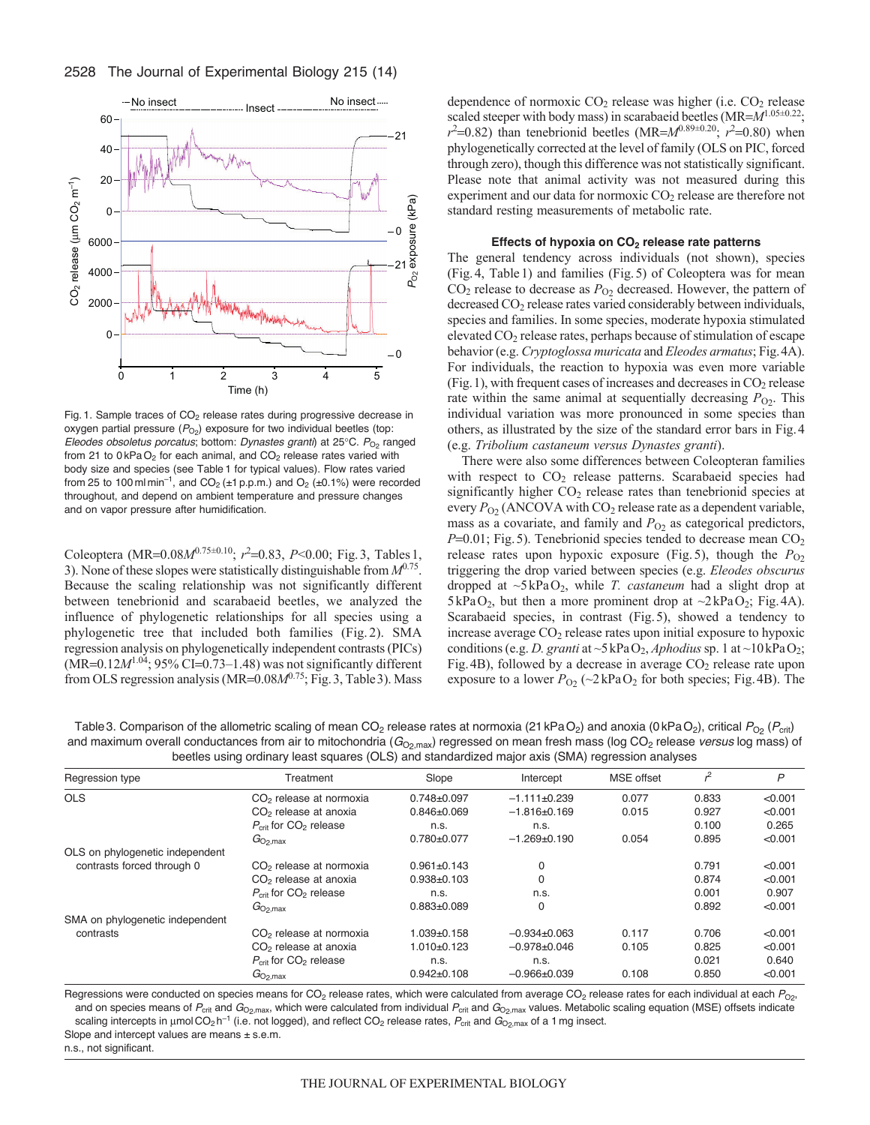2528 The Journal of Experimental Biology 215 (14)



Fig. 1. Sample traces of  $CO<sub>2</sub>$  release rates during progressive decrease in oxygen partial pressure (P<sub>O2</sub>) exposure for two individual beetles (top: *Eleodes obsoletus porcatus*; bottom: *Dynastes granti*) at 25°C. *P*<sub>O2</sub> ranged from 21 to  $0 \text{ kPaO}_2$  for each animal, and  $CO_2$  release rates varied with body size and species (see Table 1 for typical values). Flow rates varied from 25 to 100 ml min<sup>-1</sup>, and  $CO_2$  ( $\pm$ 1 p.p.m.) and  $O_2$  ( $\pm$ 0.1%) were recorded throughout, and depend on ambient temperature and pressure changes and on vapor pressure after humidification.

Coleoptera (MR=0.08 $M^{0.75\pm0.10}$ ;  $r^2$ =0.83,  $P$ <0.00; Fig.3, Tables 1, 3). None of these slopes were statistically distinguishable from  $M^{0.75}$ . Because the scaling relationship was not significantly different between tenebrionid and scarabaeid beetles, we analyzed the influence of phylogenetic relationships for all species using a phylogenetic tree that included both families (Fig. 2). SMA regression analysis on phylogenetically independent contrasts (PICs)  $(MR=0.12M^{1.04}$ ; 95% CI=0.73–1.48) was not significantly different from OLS regression analysis (MR=0.08 $M^{0.75}$ ; Fig. 3, Table 3). Mass dependence of normoxic  $CO<sub>2</sub>$  release was higher (i.e.  $CO<sub>2</sub>$  release scaled steeper with body mass) in scarabaeid beetles (MR= $M^{1.05\pm0.22}$ ;  $r^2$ =0.82) than tenebrionid beetles (MR= $M^{0.89\pm0.20}$ ;  $r^2$ =0.80) when phylogenetically corrected at the level of family (OLS on PIC, forced through zero), though this difference was not statistically significant. Please note that animal activity was not measured during this experiment and our data for normoxic CO<sub>2</sub> release are therefore not standard resting measurements of metabolic rate.

#### **Effects of hypoxia on CO2 release rate patterns**

The general tendency across individuals (not shown), species (Fig.4, Table1) and families (Fig.5) of Coleoptera was for mean  $CO<sub>2</sub>$  release to decrease as  $P<sub>O2</sub>$  decreased. However, the pattern of decreased CO<sub>2</sub> release rates varied considerably between individuals, species and families. In some species, moderate hypoxia stimulated elevated CO2 release rates, perhaps because of stimulation of escape behavior (e.g. *Cryptoglossa muricata* and *Eleodes armatus*; Fig.4A). For individuals, the reaction to hypoxia was even more variable (Fig. 1), with frequent cases of increases and decreases in  $CO<sub>2</sub>$  release rate within the same animal at sequentially decreasing  $P_{O2}$ . This individual variation was more pronounced in some species than others, as illustrated by the size of the standard error bars in Fig.4 (e.g. *Tribolium castaneum versus Dynastes granti*).

There were also some differences between Coleopteran families with respect to  $CO<sub>2</sub>$  release patterns. Scarabaeid species had significantly higher  $CO<sub>2</sub>$  release rates than tenebrionid species at every  $P_{O2}$  (ANCOVA with CO<sub>2</sub> release rate as a dependent variable, mass as a covariate, and family and  $P<sub>O2</sub>$  as categorical predictors,  $P=0.01$ ; Fig. 5). Tenebrionid species tended to decrease mean  $CO<sub>2</sub>$ release rates upon hypoxic exposure (Fig. 5), though the  $P_{O2}$ triggering the drop varied between species (e.g. *Eleodes obscurus* dropped at ~5kPaO2, while *T. castaneum* had a slight drop at  $5kPaO<sub>2</sub>$ , but then a more prominent drop at  $\sim$ 2kPaO<sub>2</sub>; Fig. 4A). Scarabaeid species, in contrast (Fig.5), showed a tendency to increase average  $CO<sub>2</sub>$  release rates upon initial exposure to hypoxic conditions (e.g. *D. granti* at  $\sim$ 5kPaO<sub>2</sub>, *Aphodius* sp. 1 at  $\sim$ 10kPaO<sub>2</sub>; Fig. 4B), followed by a decrease in average  $CO<sub>2</sub>$  release rate upon exposure to a lower  $P_{O2}$  (~2kPaO<sub>2</sub> for both species; Fig. 4B). The

Table 3. Comparison of the allometric scaling of mean CO<sub>2</sub> release rates at normoxia (21 kPaO<sub>2</sub>) and anoxia (0 kPaO<sub>2</sub>), critical *P*<sub>O2</sub> (*P*<sub>crit</sub>) and maximum overall conductances from air to mitochondria (*G*<sub>O2,max</sub>) regressed on mean fresh mass (log CO<sub>2</sub> release *versus* log mass) of beetles using ordinary least squares (OLS) and standardized major axis (SMA) regression analyses

| Regression type                 | Treatment                           | Slope             | Intercept          | <b>MSE</b> offset | $r^2$ | P       |
|---------------------------------|-------------------------------------|-------------------|--------------------|-------------------|-------|---------|
| <b>OLS</b>                      | CO <sub>2</sub> release at normoxia | $0.748 + 0.097$   | $-1.111 + 0.239$   | 0.077             | 0.833 | < 0.001 |
|                                 | CO <sub>2</sub> release at anoxia   | $0.846 \pm 0.069$ | $-1.816\pm0.169$   | 0.015             | 0.927 | < 0.001 |
|                                 | $P_{\text{crit}}$ for $CO2$ release | n.s.              | n.s.               |                   | 0.100 | 0.265   |
|                                 | $G_{\rm O_2,max}$                   | $0.780 + 0.077$   | $-1.269 + 0.190$   | 0.054             | 0.895 | < 0.001 |
| OLS on phylogenetic independent |                                     |                   |                    |                   |       |         |
| contrasts forced through 0      | CO <sub>2</sub> release at normoxia | $0.961 \pm 0.143$ | 0                  |                   | 0.791 | < 0.001 |
|                                 | CO <sub>2</sub> release at anoxia   | $0.938 + 0.103$   | 0                  |                   | 0.874 | < 0.001 |
|                                 | $P_{\text{crit}}$ for $CO2$ release | n.s.              | n.s.               |                   | 0.001 | 0.907   |
|                                 | $G_{\rm O2,max}$                    | $0.883 + 0.089$   | 0                  |                   | 0.892 | < 0.001 |
| SMA on phylogenetic independent |                                     |                   |                    |                   |       |         |
| contrasts                       | CO <sub>2</sub> release at normoxia | 1.039±0.158       | $-0.934+0.063$     | 0.117             | 0.706 | < 0.001 |
|                                 | CO <sub>2</sub> release at anoxia   | $1.010+0.123$     | $-0.978 \pm 0.046$ | 0.105             | 0.825 | < 0.001 |
|                                 | $P_{\text{crit}}$ for $CO2$ release | n.s.              | n.s.               |                   | 0.021 | 0.640   |
|                                 | $G_{\rm O_2,max}$                   | $0.942 \pm 0.108$ | $-0.966 \pm 0.039$ | 0.108             | 0.850 | < 0.001 |

Regressions were conducted on species means for CO<sub>2</sub> release rates, which were calculated from average CO<sub>2</sub> release rates for each individual at each P<sub>O2</sub>, and on species means of *P<sub>crit</sub>* and  $G_{O_2,max}$ , which were calculated from individual *P<sub>crit</sub>* and  $G_{O_2,max}$  values. Metabolic scaling equation (MSE) offsets indicate scaling intercepts in µmol CO<sub>2</sub> h<sup>-1</sup> (i.e. not logged), and reflect CO<sub>2</sub> release rates,  $P_{\rm crit}$  and  $G_{\rm O2,max}$  of a 1 mg insect. Slope and intercept values are means  $\pm$  s.e.m.

n.s., not significant.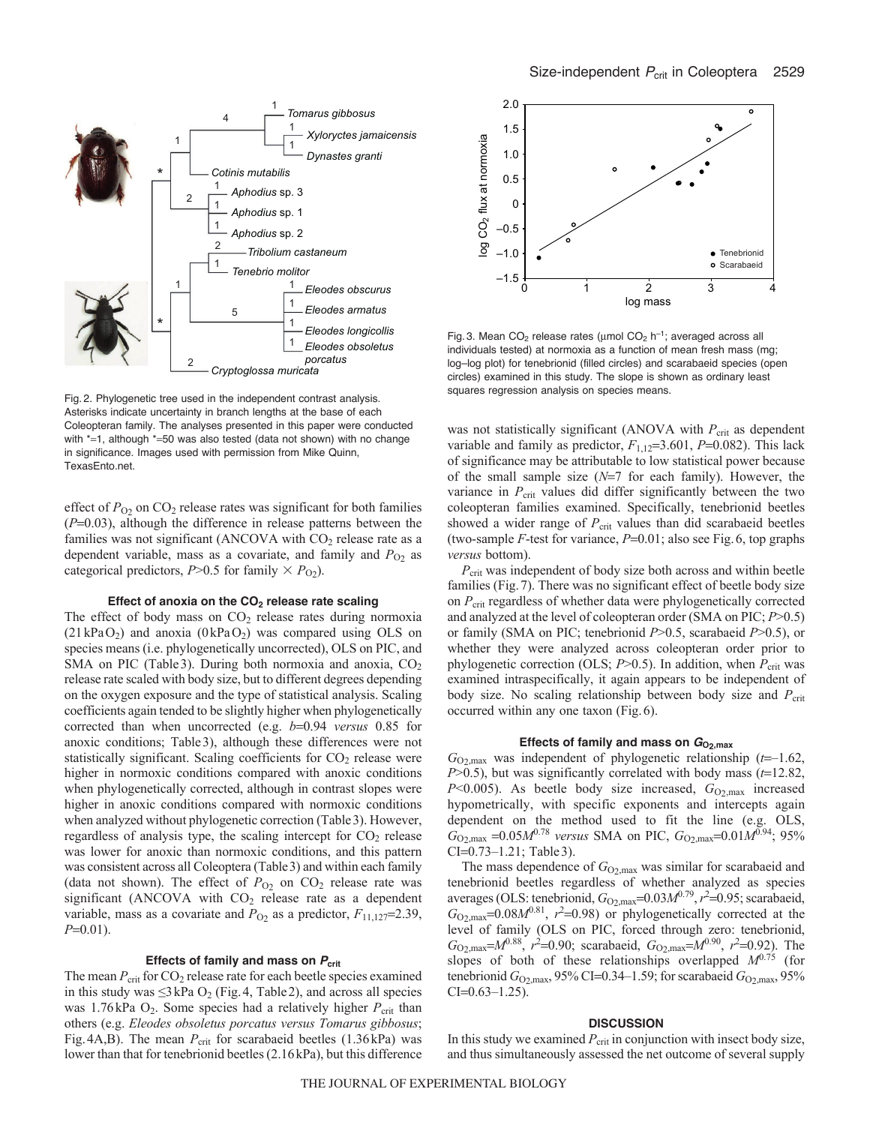

Fig. 2. Phylogenetic tree used in the independent contrast analysis. Asterisks indicate uncertainty in branch lengths at the base of each Coleopteran family. The analyses presented in this paper were conducted with  $*=1$ , although  $*=50$  was also tested (data not shown) with no change in significance. Images used with permission from Mike Quinn, TexasEnto.net.

effect of  $P_{O2}$  on CO<sub>2</sub> release rates was significant for both families  $(P=0.03)$ , although the difference in release patterns between the families was not significant (ANCOVA with  $CO<sub>2</sub>$  release rate as a dependent variable, mass as a covariate, and family and  $P_{O2}$  as categorical predictors,  $P > 0.5$  for family  $\times P_{O_2}$ ).

## Effect of anoxia on the CO<sub>2</sub> release rate scaling

The effect of body mass on  $CO<sub>2</sub>$  release rates during normoxia  $(21kPaO<sub>2</sub>)$  and anoxia  $(0kPaO<sub>2</sub>)$  was compared using OLS on species means (i.e. phylogenetically uncorrected), OLS on PIC, and SMA on PIC (Table 3). During both normoxia and anoxia,  $CO<sub>2</sub>$ release rate scaled with body size, but to different degrees depending on the oxygen exposure and the type of statistical analysis. Scaling coefficients again tended to be slightly higher when phylogenetically corrected than when uncorrected (e.g. *b*=0.94 *versus* 0.85 for anoxic conditions; Table3), although these differences were not statistically significant. Scaling coefficients for  $CO<sub>2</sub>$  release were higher in normoxic conditions compared with anoxic conditions when phylogenetically corrected, although in contrast slopes were higher in anoxic conditions compared with normoxic conditions when analyzed without phylogenetic correction (Table3). However, regardless of analysis type, the scaling intercept for  $CO<sub>2</sub>$  release was lower for anoxic than normoxic conditions, and this pattern was consistent across all Coleoptera (Table3) and within each family (data not shown). The effect of  $P_{O_2}$  on  $CO_2$  release rate was significant (ANCOVA with CO<sub>2</sub> release rate as a dependent variable, mass as a covariate and  $P_{O2}$  as a predictor,  $F_{11,127}$ =2.39,  $P=0.01$ ).

## Effects of family and mass on  $P_{\text{crit}}$

The mean  $P_{\text{crit}}$  for  $CO_2$  release rate for each beetle species examined in this study was  $\leq$ 3 kPa O<sub>2</sub> (Fig. 4, Table 2), and across all species was 1.76kPa  $O_2$ . Some species had a relatively higher  $P_{\text{crit}}$  than others (e.g. *Eleodes obsoletus porcatus versus Tomarus gibbosus*; Fig.4A,B). The mean  $P_{\text{crit}}$  for scarabaeid beetles (1.36kPa) was lower than that for tenebrionid beetles (2.16kPa), but this difference



Fig. 3. Mean  $CO_2$  release rates (umol  $CO_2$  h<sup>-1</sup>; averaged across all individuals tested) at normoxia as a function of mean fresh mass (mg; log–log plot) for tenebrionid (filled circles) and scarabaeid species (open circles) examined in this study. The slope is shown as ordinary least squares regression analysis on species means.

was not statistically significant (ANOVA with *P<sub>crit</sub>* as dependent variable and family as predictor,  $F_{1,12}=3.601$ ,  $P=0.082$ ). This lack of significance may be attributable to low statistical power because of the small sample size  $(N=7)$  for each family). However, the variance in  $P_{\text{crit}}$  values did differ significantly between the two coleopteran families examined. Specifically, tenebrionid beetles showed a wider range of  $P_{\text{crit}}$  values than did scarabaeid beetles (two-sample  $F$ -test for variance,  $P=0.01$ ; also see Fig.6, top graphs *versus* bottom).

*P*crit was independent of body size both across and within beetle families (Fig.7). There was no significant effect of beetle body size on  $P_{\text{crit}}$  regardless of whether data were phylogenetically corrected and analyzed at the level of coleopteran order (SMA on PIC; *P*>0.5) or family (SMA on PIC; tenebrionid *P*>0.5, scarabaeid *P*>0.5), or whether they were analyzed across coleopteran order prior to phylogenetic correction (OLS; *P*>0.5). In addition, when *P*<sub>crit</sub> was examined intraspecifically, it again appears to be independent of body size. No scaling relationship between body size and  $P_{\text{crit}}$ occurred within any one taxon (Fig.6).

## Effects of family and mass on  $G_{O2, max}$

*G*O2,max was independent of phylogenetic relationship (*t*–1.62,  $P$ >0.5), but was significantly correlated with body mass ( $t$ =12.82, *P*<0.005). As beetle body size increased,  $G_{O2, \text{max}}$  increased hypometrically, with specific exponents and intercepts again dependent on the method used to fit the line (e.g. OLS,  $G_{O_2, \text{max}} = 0.05 M^{0.78}$  *versus* SMA on PIC,  $G_{O_2, \text{max}} = 0.01 M^{0.94}$ ; 95%  $CI=0.73-1.21$ ; Table 3).

The mass dependence of  $G_{O2, max}$  was similar for scarabaeid and tenebrionid beetles regardless of whether analyzed as species averages (OLS: tenebrionid,  $G_{O2, \text{max}} = 0.03 M^{0.79}$ ,  $r^2 = 0.95$ ; scarabaeid,  $G_{\text{O2,max}}$ =0.08 $M^{0.81}$ ,  $r^2$ =0.98) or phylogenetically corrected at the level of family (OLS on PIC, forced through zero: tenebrionid,  $G_{O_2,\text{max}} = M^{0.88}$ ,  $r^2 = 0.90$ ; scarabaeid,  $G_{O_2,\text{max}} = M^{0.90}$ ,  $r^2 = 0.92$ ). The slopes of both of these relationships overlapped  $M^{0.75}$  (for tenebrionid  $G_{O2, \text{max}}$ , 95% CI=0.34–1.59; for scarabaeid  $G_{O2, \text{max}}$ , 95%  $CI=0.63-1.25$ ).

#### **DISCUSSION**

In this study we examined  $P_{\text{crit}}$  in conjunction with insect body size, and thus simultaneously assessed the net outcome of several supply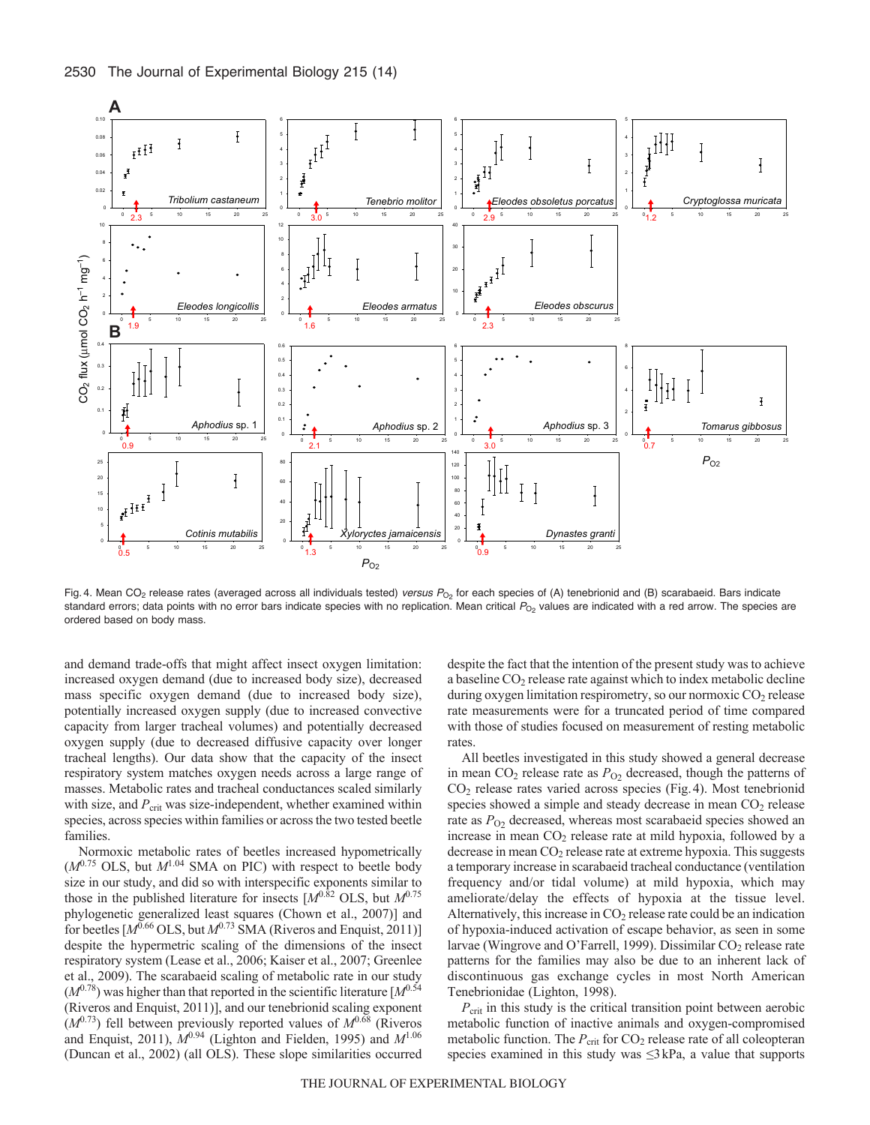

Fig. 4. Mean CO<sub>2</sub> release rates (averaged across all individuals tested) *versus P*<sub>O2</sub> for each species of (A) tenebrionid and (B) scarabaeid. Bars indicate standard errors; data points with no error bars indicate species with no replication. Mean critical  $P_{\text{O}_2}$  values are indicated with a red arrow. The species are ordered based on body mass.

and demand trade-offs that might affect insect oxygen limitation: increased oxygen demand (due to increased body size), decreased mass specific oxygen demand (due to increased body size), potentially increased oxygen supply (due to increased convective capacity from larger tracheal volumes) and potentially decreased oxygen supply (due to decreased diffusive capacity over longer tracheal lengths). Our data show that the capacity of the insect respiratory system matches oxygen needs across a large range of masses. Metabolic rates and tracheal conductances scaled similarly with size, and  $P_{\text{crit}}$  was size-independent, whether examined within species, across species within families or across the two tested beetle families.

Normoxic metabolic rates of beetles increased hypometrically  $(M^{0.75}$  OLS, but  $M^{1.04}$  SMA on PIC) with respect to beetle body size in our study, and did so with interspecific exponents similar to those in the published literature for insects  $[M^{0.\overline{8}2}$  OLS, but  $M^{0.75}$ phylogenetic generalized least squares (Chown et al., 2007)] and for beetles [*M*<sup>0.66</sup> OLS, but *M*<sup>0.73</sup> SMA (Riveros and Enquist, 2011)] despite the hypermetric scaling of the dimensions of the insect respiratory system (Lease et al., 2006; Kaiser et al., 2007; Greenlee et al., 2009). The scarabaeid scaling of metabolic rate in our study  $(M^{0.78})$  was higher than that reported in the scientific literature  $[M^{0.54}]$ (Riveros and Enquist, 2011)], and our tenebrionid scaling exponent  $(M^{0.73})$  fell between previously reported values of  $M^{0.68}$  (Riveros and Enquist, 2011),  $M^{0.94}$  (Lighton and Fielden, 1995) and  $M^{1.06}$ (Duncan et al., 2002) (all OLS). These slope similarities occurred despite the fact that the intention of the present study was to achieve a baseline CO2 release rate against which to index metabolic decline during oxygen limitation respirometry, so our normoxic CO<sub>2</sub> release rate measurements were for a truncated period of time compared with those of studies focused on measurement of resting metabolic rates.

All beetles investigated in this study showed a general decrease in mean  $CO_2$  release rate as  $P_{O2}$  decreased, though the patterns of CO2 release rates varied across species (Fig.4). Most tenebrionid species showed a simple and steady decrease in mean CO<sub>2</sub> release rate as  $P_{\text{O}2}$  decreased, whereas most scarabaeid species showed an increase in mean  $CO<sub>2</sub>$  release rate at mild hypoxia, followed by a decrease in mean  $CO<sub>2</sub>$  release rate at extreme hypoxia. This suggests a temporary increase in scarabaeid tracheal conductance (ventilation frequency and/or tidal volume) at mild hypoxia, which may ameliorate/delay the effects of hypoxia at the tissue level. Alternatively, this increase in  $CO<sub>2</sub>$  release rate could be an indication of hypoxia-induced activation of escape behavior, as seen in some larvae (Wingrove and O'Farrell, 1999). Dissimilar CO<sub>2</sub> release rate patterns for the families may also be due to an inherent lack of discontinuous gas exchange cycles in most North American Tenebrionidae (Lighton, 1998).

*P*<sub>crit</sub> in this study is the critical transition point between aerobic metabolic function of inactive animals and oxygen-compromised metabolic function. The *P*<sub>crit</sub> for CO<sub>2</sub> release rate of all coleopteran species examined in this study was ≤3kPa, a value that supports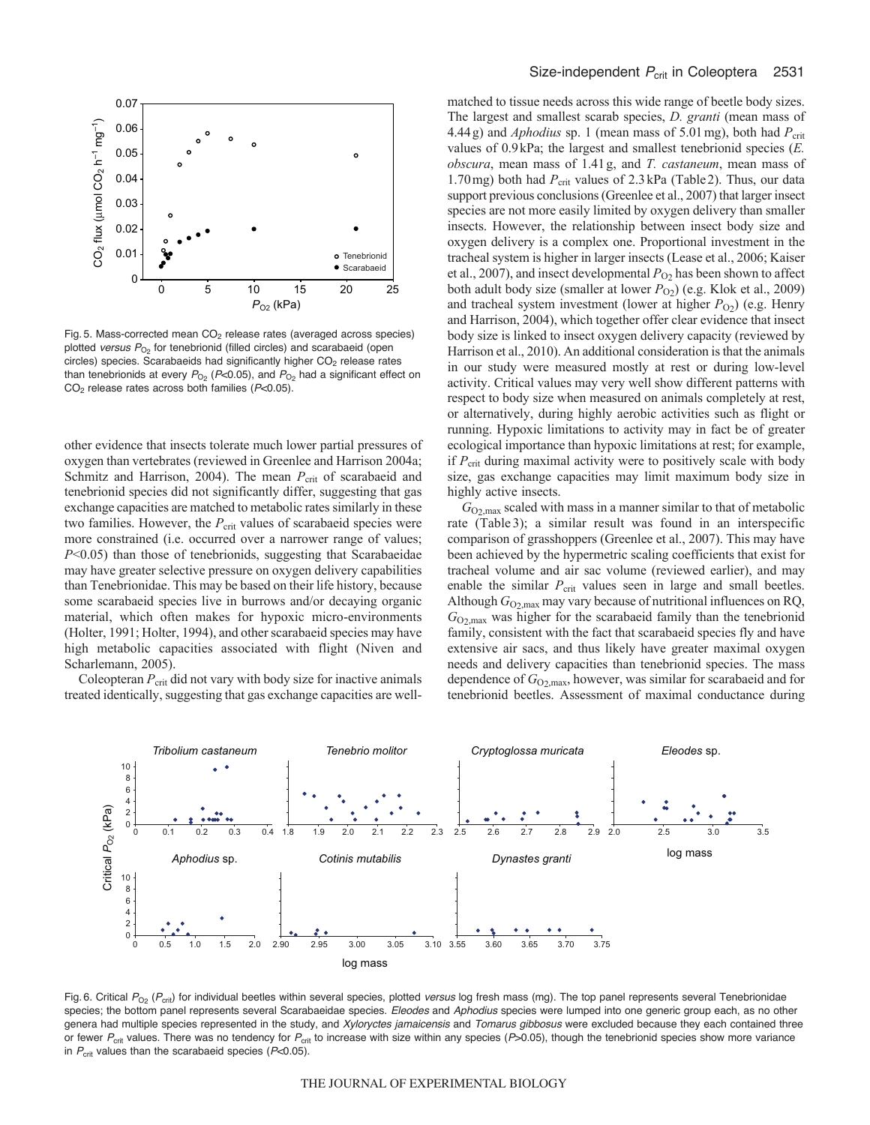

Fig. 5. Mass-corrected mean  $CO<sub>2</sub>$  release rates (averaged across species) plotted *versus* P<sub>O2</sub> for tenebrionid (filled circles) and scarabaeid (open circles) species. Scarabaeids had significantly higher  $CO<sub>2</sub>$  release rates than tenebrionids at every  $P_{O_2}$  ( $P<0.05$ ), and  $P_{O_2}$  had a significant effect on CO2 release rates across both families (*P*<0.05).

other evidence that insects tolerate much lower partial pressures of oxygen than vertebrates (reviewed in Greenlee and Harrison 2004a; Schmitz and Harrison, 2004). The mean P<sub>crit</sub> of scarabaeid and tenebrionid species did not significantly differ, suggesting that gas exchange capacities are matched to metabolic rates similarly in these two families. However, the *P*<sub>crit</sub> values of scarabaeid species were more constrained (i.e. occurred over a narrower range of values; *P*<0.05) than those of tenebrionids, suggesting that Scarabaeidae may have greater selective pressure on oxygen delivery capabilities than Tenebrionidae. This may be based on their life history, because some scarabaeid species live in burrows and/or decaying organic material, which often makes for hypoxic micro-environments (Holter, 1991; Holter, 1994), and other scarabaeid species may have high metabolic capacities associated with flight (Niven and Scharlemann, 2005).

Coleopteran  $P_{\text{crit}}$  did not vary with body size for inactive animals treated identically, suggesting that gas exchange capacities are wellmatched to tissue needs across this wide range of beetle body sizes. The largest and smallest scarab species, *D. granti* (mean mass of 4.44g) and *Aphodius* sp. 1 (mean mass of 5.01 mg), both had  $P_{\text{crit}}$ values of 0.9kPa; the largest and smallest tenebrionid species (*E. obscura*, mean mass of 1.41g, and *T. castaneum*, mean mass of 1.70 mg) both had  $P_{\text{crit}}$  values of 2.3 kPa (Table 2). Thus, our data support previous conclusions (Greenlee et al., 2007) that larger insect species are not more easily limited by oxygen delivery than smaller insects. However, the relationship between insect body size and oxygen delivery is a complex one. Proportional investment in the tracheal system is higher in larger insects (Lease et al., 2006; Kaiser et al., 2007), and insect developmental  $P_{O_2}$  has been shown to affect both adult body size (smaller at lower *P*<sub>O2</sub>) (e.g. Klok et al., 2009) and tracheal system investment (lower at higher *P*<sub>O2</sub>) (e.g. Henry and Harrison, 2004), which together offer clear evidence that insect body size is linked to insect oxygen delivery capacity (reviewed by Harrison et al., 2010). An additional consideration is that the animals in our study were measured mostly at rest or during low-level activity. Critical values may very well show different patterns with respect to body size when measured on animals completely at rest, or alternatively, during highly aerobic activities such as flight or running. Hypoxic limitations to activity may in fact be of greater ecological importance than hypoxic limitations at rest; for example, if  $P_{\text{crit}}$  during maximal activity were to positively scale with body size, gas exchange capacities may limit maximum body size in highly active insects.

 $G_{O_2, max}$  scaled with mass in a manner similar to that of metabolic rate (Table 3); a similar result was found in an interspecific comparison of grasshoppers (Greenlee et al., 2007). This may have been achieved by the hypermetric scaling coefficients that exist for tracheal volume and air sac volume (reviewed earlier), and may enable the similar  $P_{\text{crit}}$  values seen in large and small beetles. Although  $G_{O_2, max}$  may vary because of nutritional influences on RQ, *G*O2,max was higher for the scarabaeid family than the tenebrionid family, consistent with the fact that scarabaeid species fly and have extensive air sacs, and thus likely have greater maximal oxygen needs and delivery capacities than tenebrionid species. The mass dependence of  $G_{O2, \text{max}}$ , however, was similar for scarabaeid and for tenebrionid beetles. Assessment of maximal conductance during



Fig. 6. Critical P<sub>O2</sub> (P<sub>crit</sub>) for individual beetles within several species, plotted versus log fresh mass (mg). The top panel represents several Tenebrionidae species; the bottom panel represents several Scarabaeidae species. *Eleodes* and *Aphodius* species were lumped into one generic group each, as no other genera had multiple species represented in the study, and *Xyloryctes jamaicensis* and *Tomarus gibbosus* were excluded because they each contained three or fewer *P*crit values. There was no tendency for *P*crit to increase with size within any species (*P*>0.05), though the tenebrionid species show more variance in *P<sub>crit</sub>* values than the scarabaeid species (*P*<0.05).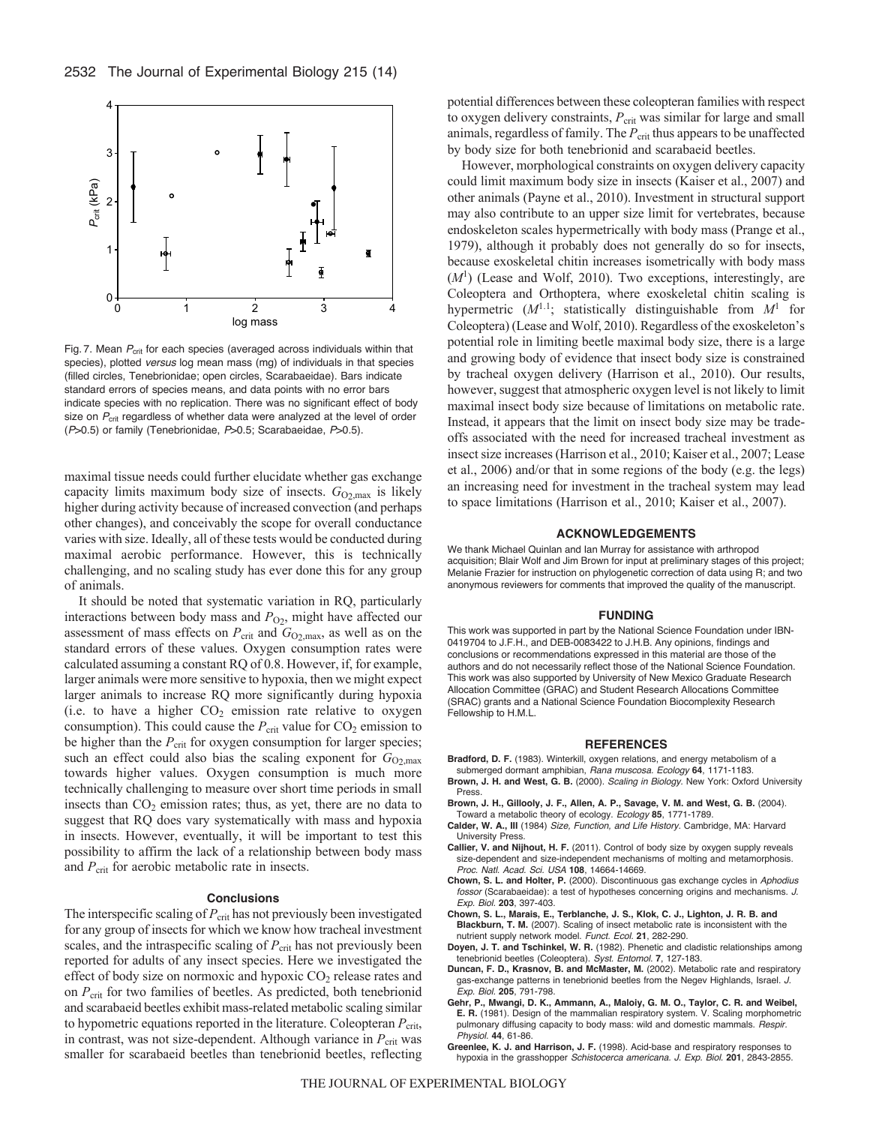

Fig. 7. Mean  $P_{\text{crit}}$  for each species (averaged across individuals within that species), plotted *versus* log mean mass (mg) of individuals in that species (filled circles, Tenebrionidae; open circles, Scarabaeidae). Bars indicate standard errors of species means, and data points with no error bars indicate species with no replication. There was no significant effect of body size on P<sub>crit</sub> regardless of whether data were analyzed at the level of order (*P*>0.5) or family (Tenebrionidae, *P*>0.5; Scarabaeidae, *P*>0.5).

maximal tissue needs could further elucidate whether gas exchange capacity limits maximum body size of insects.  $G_{O2, \text{max}}$  is likely higher during activity because of increased convection (and perhaps other changes), and conceivably the scope for overall conductance varies with size. Ideally, all of these tests would be conducted during maximal aerobic performance. However, this is technically challenging, and no scaling study has ever done this for any group of animals.

It should be noted that systematic variation in RQ, particularly interactions between body mass and  $P_{O_2}$ , might have affected our assessment of mass effects on  $P_{\text{crit}}$  and  $G_{\text{O2,max}}$ , as well as on the standard errors of these values. Oxygen consumption rates were calculated assuming a constant RQ of 0.8. However, if, for example, larger animals were more sensitive to hypoxia, then we might expect larger animals to increase RQ more significantly during hypoxia (i.e. to have a higher  $CO<sub>2</sub>$  emission rate relative to oxygen consumption). This could cause the  $P_{\text{crit}}$  value for  $CO_2$  emission to be higher than the  $P_{\text{crit}}$  for oxygen consumption for larger species; such an effect could also bias the scaling exponent for  $G_{O2, \text{max}}$ towards higher values. Oxygen consumption is much more technically challenging to measure over short time periods in small insects than  $CO<sub>2</sub>$  emission rates; thus, as yet, there are no data to suggest that RQ does vary systematically with mass and hypoxia in insects. However, eventually, it will be important to test this possibility to affirm the lack of a relationship between body mass and *P*<sub>crit</sub> for aerobic metabolic rate in insects.

#### **Conclusions**

The interspecific scaling of  $P_{\text{crit}}$  has not previously been investigated for any group of insects for which we know how tracheal investment scales, and the intraspecific scaling of  $P_{\text{crit}}$  has not previously been reported for adults of any insect species. Here we investigated the effect of body size on normoxic and hypoxic  $CO<sub>2</sub>$  release rates and on *P*crit for two families of beetles. As predicted, both tenebrionid and scarabaeid beetles exhibit mass-related metabolic scaling similar to hypometric equations reported in the literature. Coleopteran  $P_{\text{crit}}$ , in contrast, was not size-dependent. Although variance in  $P_{\text{crit}}$  was smaller for scarabaeid beetles than tenebrionid beetles, reflecting potential differences between these coleopteran families with respect to oxygen delivery constraints,  $P_{\text{crit}}$  was similar for large and small animals, regardless of family. The  $P_{\text{crit}}$  thus appears to be unaffected by body size for both tenebrionid and scarabaeid beetles.

However, morphological constraints on oxygen delivery capacity could limit maximum body size in insects (Kaiser et al., 2007) and other animals (Payne et al., 2010). Investment in structural support may also contribute to an upper size limit for vertebrates, because endoskeleton scales hypermetrically with body mass (Prange et al., 1979), although it probably does not generally do so for insects, because exoskeletal chitin increases isometrically with body mass  $(M<sup>1</sup>)$  (Lease and Wolf, 2010). Two exceptions, interestingly, are Coleoptera and Orthoptera, where exoskeletal chitin scaling is hypermetric  $(M^{1.1})$ ; statistically distinguishable from  $M^1$  for Coleoptera) (Lease and Wolf, 2010). Regardless of the exoskeleton's potential role in limiting beetle maximal body size, there is a large and growing body of evidence that insect body size is constrained by tracheal oxygen delivery (Harrison et al., 2010). Our results, however, suggest that atmospheric oxygen level is not likely to limit maximal insect body size because of limitations on metabolic rate. Instead, it appears that the limit on insect body size may be tradeoffs associated with the need for increased tracheal investment as insect size increases (Harrison et al., 2010; Kaiser et al., 2007; Lease et al., 2006) and/or that in some regions of the body (e.g. the legs) an increasing need for investment in the tracheal system may lead to space limitations (Harrison et al., 2010; Kaiser et al., 2007).

#### **ACKNOWLEDGEMENTS**

We thank Michael Quinlan and Ian Murray for assistance with arthropod acquisition; Blair Wolf and Jim Brown for input at preliminary stages of this project; Melanie Frazier for instruction on phylogenetic correction of data using R; and two anonymous reviewers for comments that improved the quality of the manuscript.

#### **FUNDING**

This work was supported in part by the National Science Foundation under IBN-0419704 to J.F.H., and DEB-0083422 to J.H.B. Any opinions, findings and conclusions or recommendations expressed in this material are those of the authors and do not necessarily reflect those of the National Science Foundation. This work was also supported by University of New Mexico Graduate Research Allocation Committee (GRAC) and Student Research Allocations Committee (SRAC) grants and a National Science Foundation Biocomplexity Research Fellowship to H.M.L.

#### **REFERENCES**

- **Bradford, D. F.** (1983). Winterkill, oxygen relations, and energy metabolism of a submerged dormant amphibian, *Rana muscosa. Ecology* **64**, 1171-1183.
- **Brown, J. H. and West, G. B.** (2000). *Scaling in Biology.* New York: Oxford University Press.
- **Brown, J. H., Gillooly, J. F., Allen, A. P., Savage, V. M. and West, G. B.** (2004). Toward a metabolic theory of ecology. *Ecology* **85**, 1771-1789.
- **Calder, W. A., III** (1984) *Size, Function, and Life History.* Cambridge, MA: Harvard University Press.
- **Callier, V. and Nijhout, H. F.** (2011). Control of body size by oxygen supply reveals size-dependent and size-independent mechanisms of molting and metamorphosis. *Proc. Natl. Acad. Sci. USA* **108**, 14664-14669.
- **Chown, S. L. and Holter, P.** (2000). Discontinuous gas exchange cycles in *Aphodius fossor* (Scarabaeidae): a test of hypotheses concerning origins and mechanisms. *J. Exp. Biol.* **203**, 397-403.
- **Chown, S. L., Marais, E., Terblanche, J. S., Klok, C. J., Lighton, J. R. B. and Blackburn, T. M.** (2007). Scaling of insect metabolic rate is inconsistent with the nutrient supply network model. *Funct. Ecol.* **21**, 282-290.
- **Doyen, J. T. and Tschinkel, W. R.** (1982). Phenetic and cladistic relationships among tenebrionid beetles (Coleoptera). *Syst. Entomol.* **7**, 127-183.
- **Duncan, F. D., Krasnov, B. and McMaster, M.** (2002). Metabolic rate and respiratory gas-exchange patterns in tenebrionid beetles from the Negev Highlands, Israel. *J. Exp. Biol.* **205**, 791-798.
- **Gehr, P., Mwangi, D. K., Ammann, A., Maloiy, G. M. O., Taylor, C. R. and Weibel, E. R.** (1981). Design of the mammalian respiratory system. V. Scaling morphometric pulmonary diffusing capacity to body mass: wild and domestic mammals. *Respir. Physiol.* **44**, 61-86.
- **Greenlee, K. J. and Harrison, J. F.** (1998). Acid-base and respiratory responses to hypoxia in the grasshopper *Schistocerca americana. J. Exp. Biol.* **201**, 2843-2855.